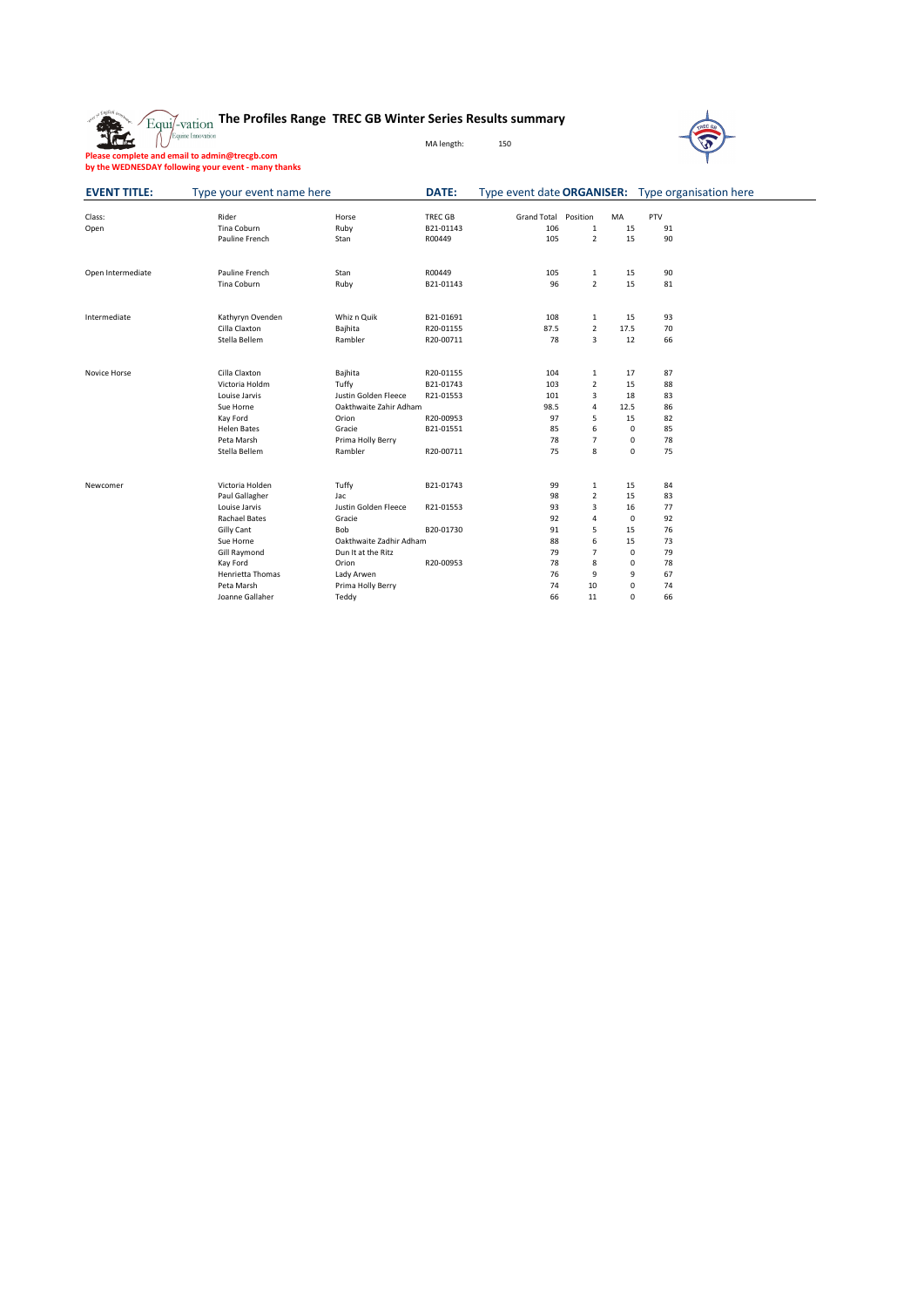



**Please complete and email to admin@trecgb.com by the WEDNESDAY following your event - many thanks**

| <b>EVENT TITLE:</b> | Type your event name here |                         | <b>DATE:</b> | Type event date ORGANISER:  |                |             | Type organisation here |  |
|---------------------|---------------------------|-------------------------|--------------|-----------------------------|----------------|-------------|------------------------|--|
| Class:              | Rider                     | Horse                   | TREC GB      | <b>Grand Total Position</b> |                | MA          | PTV                    |  |
| Open                | Tina Coburn               | Ruby                    | B21-01143    | 106                         | $\mathbf{1}$   | 15          | 91                     |  |
|                     | Pauline French            | Stan                    | R00449       | 105                         | $\overline{2}$ | 15          | 90                     |  |
|                     |                           |                         |              |                             |                |             |                        |  |
| Open Intermediate   | Pauline French            | Stan                    | R00449       | 105                         | $\mathbf{1}$   | 15          | 90                     |  |
|                     | Tina Coburn               | Ruby                    | B21-01143    | 96                          | $\overline{2}$ | 15          | 81                     |  |
| Intermediate        | Kathyryn Ovenden          | Whiz n Quik             | B21-01691    | 108                         | $\mathbf{1}$   | 15          | 93                     |  |
|                     | Cilla Claxton             | Bajhita                 | R20-01155    | 87.5                        | $\overline{2}$ | 17.5        | 70                     |  |
|                     | Stella Bellem             | Rambler                 | R20-00711    | 78                          | $\overline{3}$ | 12          | 66                     |  |
|                     |                           |                         |              |                             |                |             |                        |  |
| Novice Horse        | Cilla Claxton             | Bajhita                 | R20-01155    | 104                         | $\mathbf{1}$   | 17          | 87                     |  |
|                     | Victoria Holdm            | Tuffy                   | B21-01743    | 103                         | $\overline{2}$ | 15          | 88                     |  |
|                     | Louise Jarvis             | Justin Golden Fleece    | R21-01553    | 101                         | 3              | 18          | 83                     |  |
|                     | Sue Horne                 | Oakthwaite Zahir Adham  |              | 98.5                        | 4              | 12.5        | 86                     |  |
|                     | Kay Ford                  | Orion                   | R20-00953    | 97                          | 5              | 15          | 82                     |  |
|                     | <b>Helen Bates</b>        | Gracie                  | B21-01551    | 85                          | 6              | 0           | 85                     |  |
|                     | Peta Marsh                | Prima Holly Berry       |              | 78                          | $\overline{7}$ | $\mathbf 0$ | 78                     |  |
|                     | Stella Bellem             | Rambler                 | R20-00711    | 75                          | $\bf 8$        | $\mathbf 0$ | 75                     |  |
| Newcomer            | Victoria Holden           | Tuffy                   | B21-01743    | 99                          | $\mathbf{1}$   | 15          | 84                     |  |
|                     | Paul Gallagher            | Jac                     |              | 98                          | $\overline{2}$ | 15          | 83                     |  |
|                     | Louise Jarvis             | Justin Golden Fleece    | R21-01553    | 93                          | $\mathsf{3}$   | 16          | $77$                   |  |
|                     | <b>Rachael Bates</b>      | Gracie                  |              | 92                          | 4              | $\mathbf 0$ | 92                     |  |
|                     | <b>Gilly Cant</b>         | Bob                     | B20-01730    | 91                          | 5              | 15          | 76                     |  |
|                     | Sue Horne                 | Oakthwaite Zadhir Adham |              | 88                          | 6              | 15          | 73                     |  |
|                     | Gill Raymond              | Dun It at the Ritz      |              | 79                          | 7              | 0           | 79                     |  |
|                     | Kay Ford                  | Orion                   | R20-00953    | 78                          | 8              | 0           | 78                     |  |
|                     | Henrietta Thomas          | Lady Arwen              |              | 76                          | 9              | 9           | 67                     |  |
|                     | Peta Marsh                | Prima Holly Berry       |              | 74                          | 10             | 0           | 74                     |  |
|                     | Joanne Gallaher           | Teddy                   |              | 66                          | 11             | 0           | 66                     |  |
|                     |                           |                         |              |                             |                |             |                        |  |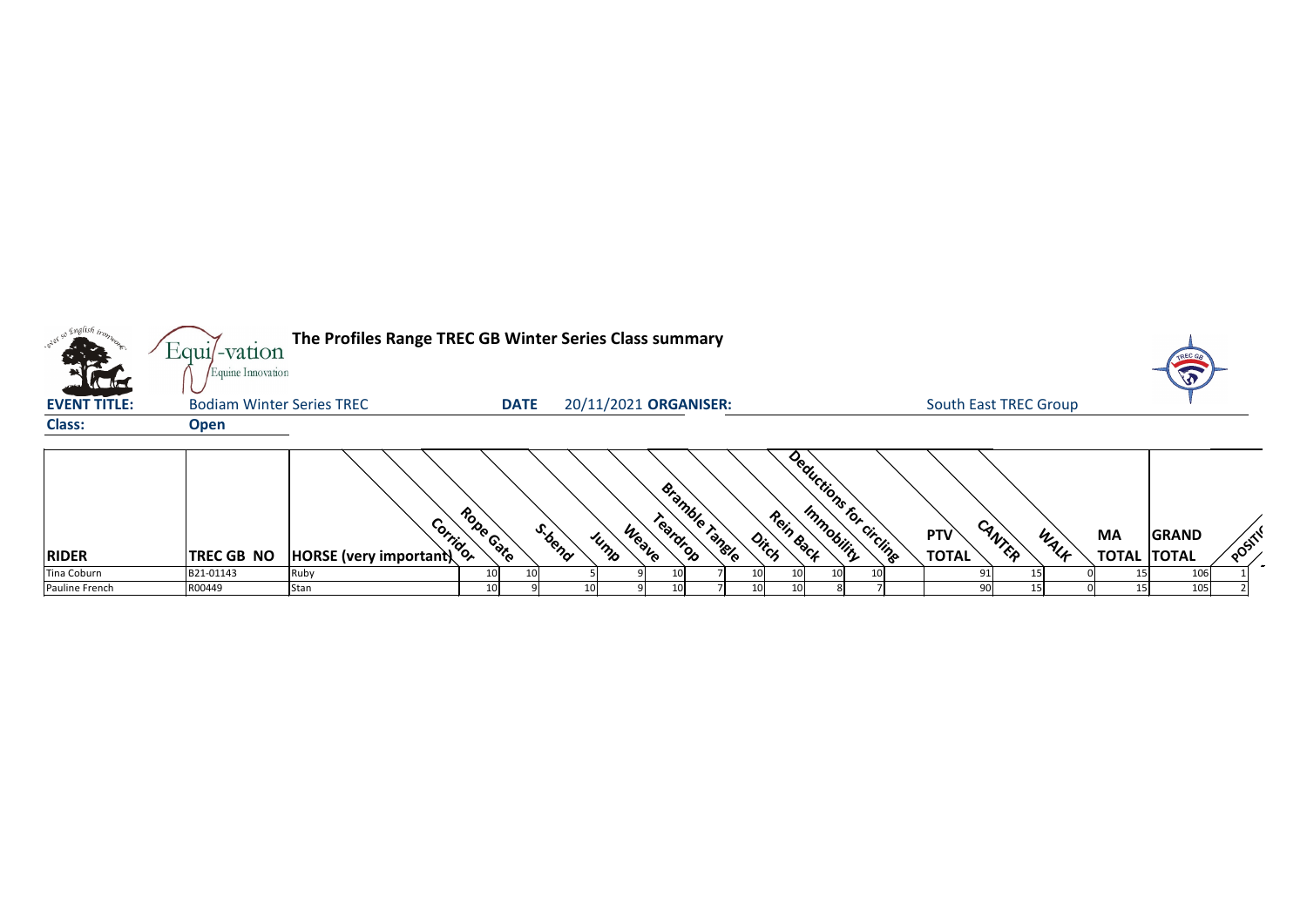| <b>CALLES</b>       | Equil-vation<br>Equine Innovation | The Profiles Range TREC GB Winter Series Class summary |             |                |                                     |                                       |           |                         |                            |                              |           |                                    |                           |
|---------------------|-----------------------------------|--------------------------------------------------------|-------------|----------------|-------------------------------------|---------------------------------------|-----------|-------------------------|----------------------------|------------------------------|-----------|------------------------------------|---------------------------|
| <b>EVENT TITLE:</b> | <b>Bodiam Winter Series TREC</b>  |                                                        | <b>DATE</b> |                | 20/11/2021 ORGANISER:               |                                       |           |                         |                            | <b>South East TREC Group</b> |           |                                    |                           |
| <b>Class:</b>       | <b>Open</b>                       |                                                        |             |                |                                     |                                       |           |                         |                            |                              |           |                                    |                           |
| <b>RIDER</b>        | <b>TREC GB NO</b>                 | <b>Songle your Songle</b><br>HORSE (very important)    | Robe Gate   | S.bend<br>JUMP | Bramble Tangle<br>Teardrop<br>Weave | $\phi_{\dot{r}_{\dot{C}\dot{\zeta}}}$ | Rein Back | Deductions for circling | <b>PTV</b><br><b>TOTAL</b> | CANTEP<br>WALK               | <b>MA</b> | <b>GRAND</b><br><b>TOTAL TOTAL</b> | $\mathbf{c}^{\mathbf{C}}$ |
| Tina Coburn         | B21-01143                         | Ruby                                                   |             |                | 10                                  |                                       | 10        | 10                      | 91                         |                              |           | 106                                |                           |
| Pauline French      | R00449                            | Stan                                                   | 10          |                | 10 <sub>l</sub>                     |                                       |           |                         | 90                         | 15                           |           | 105<br>15 <sup>1</sup>             |                           |



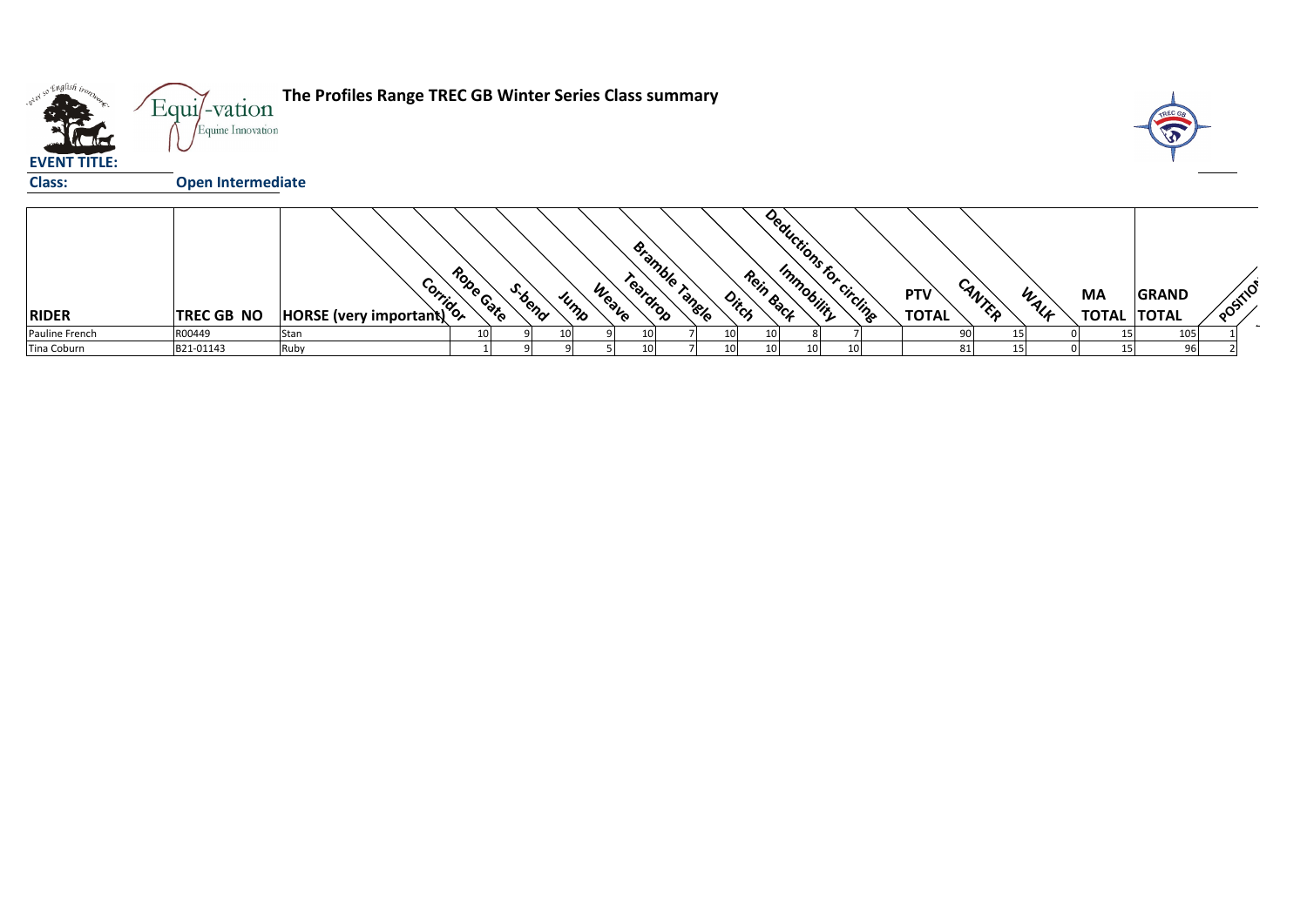

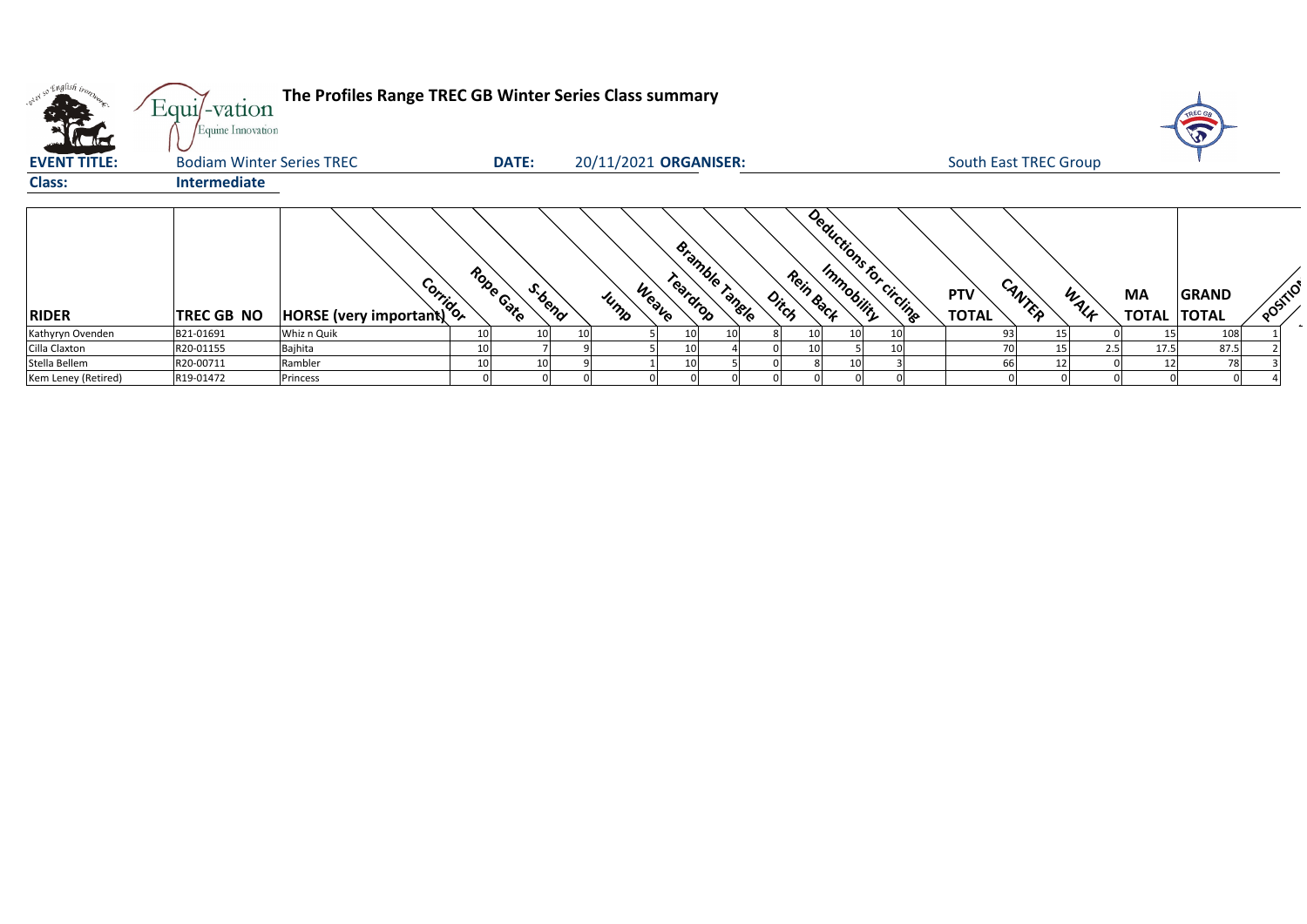| <b>Kathara</b>      | Equi/-vation<br>Equine Innovation | The Profiles Range TREC GB Winter Series Class summary    |           |              |                       |                            |                                 |           |                         |                            |                              |             | TREC GA                            |                            |
|---------------------|-----------------------------------|-----------------------------------------------------------|-----------|--------------|-----------------------|----------------------------|---------------------------------|-----------|-------------------------|----------------------------|------------------------------|-------------|------------------------------------|----------------------------|
| <b>EVENT TITLE:</b> | <b>Bodiam Winter Series TREC</b>  |                                                           |           | <b>DATE:</b> | 20/11/2021 ORGANISER: |                            |                                 |           |                         |                            | <b>South East TREC Group</b> |             |                                    |                            |
| <b>Class:</b>       | Intermediate                      |                                                           |           |              |                       |                            |                                 |           |                         |                            |                              |             |                                    |                            |
| <b>RIDER</b>        | <b>TREC GB NO</b>                 | <b>Computer</b><br>HORSE (very important) <b>Computer</b> | Robe Gate | S.bend       | Weave<br>JUMP         | Bramble Tangle<br>Teardrop | $o_{i_{\zeta_{\zeta}}^{\cdot}}$ | Rein Back | Deductions for circling | <b>PTV</b><br><b>TOTAL</b> | CANTER<br>WALK               | <b>MA</b>   | <b>GRAND</b><br><b>TOTAL TOTAL</b> | $\mathcal{S}_{\mathbf{Q}}$ |
| Kathyryn Ovenden    | B21-01691                         | Whiz n Quik                                               |           |              |                       | 10 <sup>1</sup><br>10      |                                 | 10        |                         | 93                         | 15                           |             | 108                                |                            |
| Cilla Claxton       | R20-01155                         | Bajhita                                                   |           |              |                       |                            |                                 |           | 10                      | 70                         |                              | 17.5<br>2.5 | 87.5                               |                            |
| Stella Bellem       | R20-00711                         | Rambler                                                   |           |              |                       |                            |                                 |           |                         | 66                         |                              | 12          | 78                                 |                            |
| Kem Leney (Retired) | R19-01472                         | Princess                                                  |           |              |                       |                            |                                 |           |                         |                            |                              |             |                                    |                            |



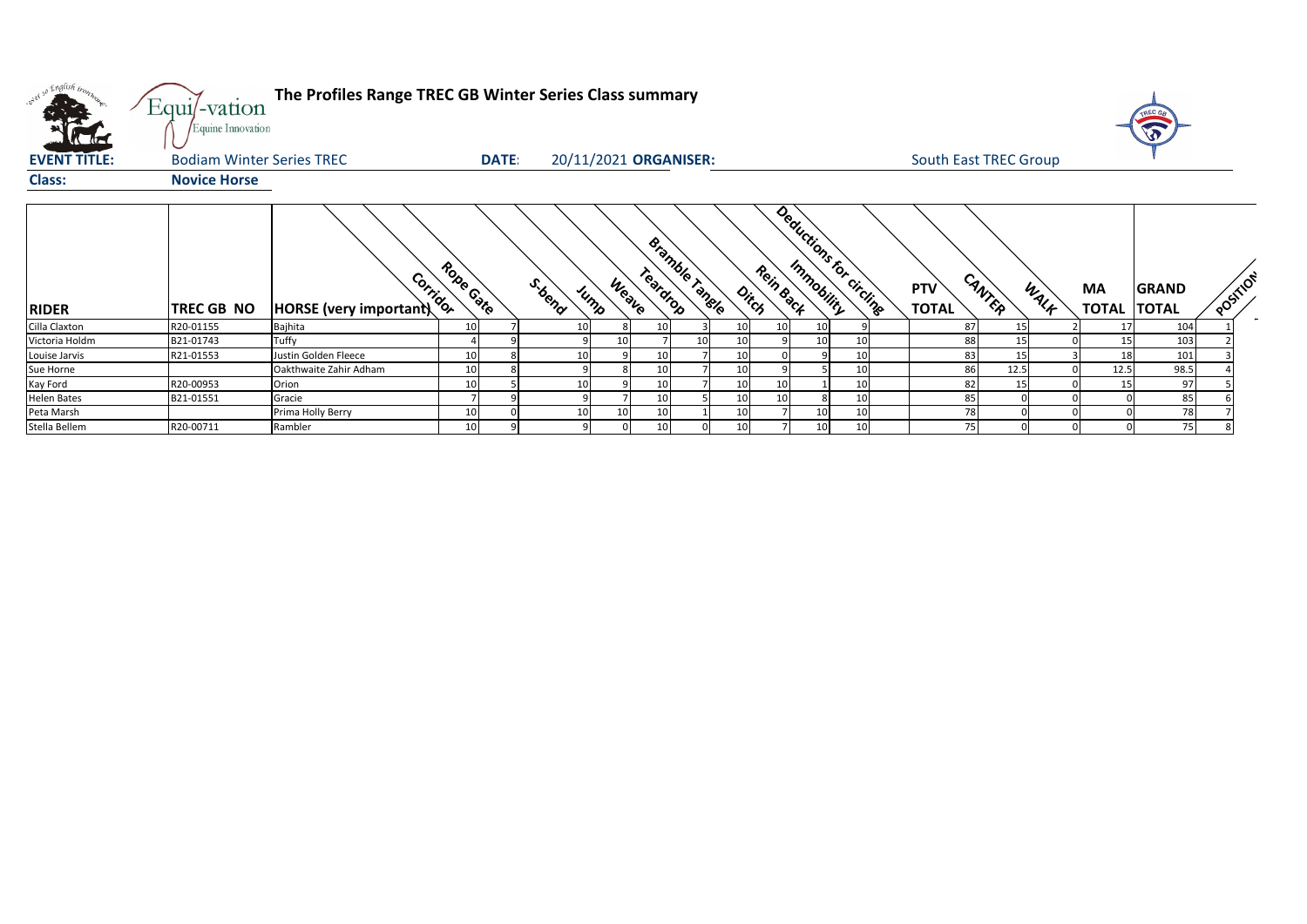| where so English ino.<br><b>EVENT TITLE:</b> | Equi/-vation<br>Equine Innovation<br><b>Bodiam Winter Series TREC</b> | The Profiles Range TREC GB Winter Series Class summary | <b>DATE:</b> |        |               | 20/11/2021 ORGANISER:      |                 |                    |                         |    | <b>South East TREC Group</b> |        |      |                                  | TREC GR<br>E |          |
|----------------------------------------------|-----------------------------------------------------------------------|--------------------------------------------------------|--------------|--------|---------------|----------------------------|-----------------|--------------------|-------------------------|----|------------------------------|--------|------|----------------------------------|--------------|----------|
| <b>Class:</b>                                | <b>Novice Horse</b>                                                   |                                                        |              |        |               |                            |                 |                    |                         |    |                              |        |      |                                  |              |          |
| <b>RIDER</b>                                 | TREC GB NO                                                            | Corridor<br><b>HORSE</b> (very important)              | Robe Gate    | S.bend | Weave<br>Jump | Bramble Tangle<br>Teardrop |                 | Rein Back<br>Dirch | Deductions for circling |    | <b>PTV</b><br><b>TOTAL</b>   | CANTER | WALK | <b>MA</b><br><b>TOTAL  TOTAL</b> | <b>GRAND</b> | POSITION |
| Cilla Claxton                                | R20-01155                                                             | Bajhita                                                |              |        |               | 10                         | 10              | 10 <sup>1</sup>    |                         |    | 87                           |        |      | 17                               | 104          |          |
| Victoria Holdm                               | B21-01743                                                             | Tuffy                                                  |              |        | 10            |                            | 10              |                    |                         | 10 | 88                           |        |      | 15                               | 103          |          |
| Louise Jarvis                                | R21-01553                                                             | Justin Golden Fleece                                   |              |        |               | 10                         | 10              |                    |                         | 10 | 83                           | 15     |      | 18                               | 101          |          |
| Sue Horne                                    |                                                                       | Oakthwaite Zahir Adham                                 |              |        |               | 10                         | 10              |                    |                         | 10 | 86                           | 12.5   |      | 12.5                             | 98.5         |          |
| Kay Ford                                     | R20-00953                                                             | Orion                                                  |              |        |               | 10                         | 10              | 10                 |                         | 10 | 82                           | 15     |      | 15                               | 97           |          |
| <b>Helen Bates</b>                           | B21-01551                                                             | Gracie                                                 |              |        |               | 10                         | 10              | 10                 |                         | 10 | 85                           |        |      |                                  | 85           |          |
| Peta Marsh                                   |                                                                       | Prima Holly Berry                                      |              |        | 10            | 10                         | 10              |                    |                         | 10 | 78                           |        |      |                                  | 78           |          |
| Stella Bellem                                | R20-00711                                                             | Rambler                                                |              |        |               | 10                         | 10 <sup>1</sup> |                    |                         | 10 | 75                           |        |      |                                  | 75           |          |

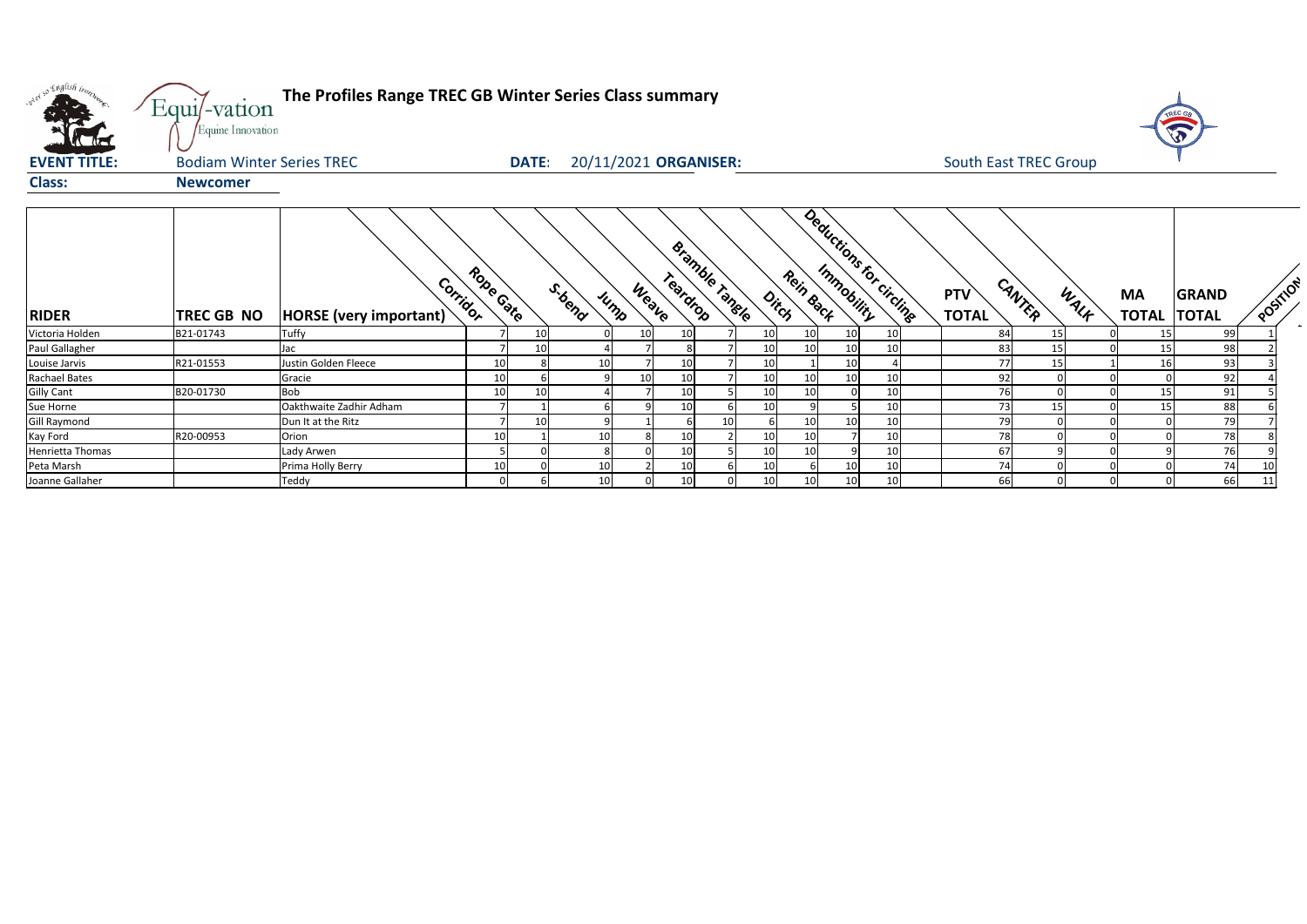| <b>PTV</b>   | CANTER | WALF | <b>MA</b>    | <b>GRAND</b> |                         | POSTTON |
|--------------|--------|------|--------------|--------------|-------------------------|---------|
| <b>TOTAL</b> |        |      | <b>TOTAL</b> | <b>TOTAL</b> |                         |         |
| 84           | 15     | 0    | 15           | 99           | 1                       |         |
| 83           | 15     | 0    | 15           | 98           | $\overline{\mathbf{c}}$ |         |
| 77           | 15     | 1    | 16           | 93           | 3                       |         |
| 92           | 0      | 0    | 0            | 92           | 4                       |         |
| 76           | 0      | 0    | 15           | 91           | 5                       |         |
| 73           | 15     | 0    | 15           | 88           | 6                       |         |
| 79           | 0      | 0    | 0            | 79           | 7                       |         |
| 78           | 0      | 0    | 0            | 78           | 8                       |         |
| 67           | 9      | 0    | 9            | 76           | 9                       |         |
| 74           | 0      | 0    | 0            | 74           | 10                      |         |
| 66           | 0      | 0    | 0            | 66           | 11                      |         |

| onel so English iron, | Equi/-vation<br>Equine Innovation | The Profiles Range TREC GB Winter Series Class summary |           |              |                 |       |                            |    |    |                                   |    |                          |                            |        |      |                           |                              |               |
|-----------------------|-----------------------------------|--------------------------------------------------------|-----------|--------------|-----------------|-------|----------------------------|----|----|-----------------------------------|----|--------------------------|----------------------------|--------|------|---------------------------|------------------------------|---------------|
| <b>EVENT TITLE:</b>   | <b>Bodiam Winter Series TREC</b>  |                                                        |           | <b>DATE:</b> |                 |       | 20/11/2021 ORGANISER:      |    |    |                                   |    |                          | South East TREC Group      |        |      |                           |                              |               |
| <b>Class:</b>         | <b>Newcomer</b>                   |                                                        |           |              |                 |       |                            |    |    |                                   |    |                          |                            |        |      |                           |                              |               |
| <b>RIDER</b>          | <b>TREC GB NO</b>                 | Corridor<br><b>HORSE</b> (very important)              | Robe Gate |              | S. bend<br>Jump | Weave | Bramble Tangle<br>Teardrop |    |    | Rein Back<br>$o_{i\zeta_{\beta}}$ |    | Deductions for circlinge | <b>PTV</b><br><b>TOTAL</b> | CANTER | WALK | <b>MA</b><br><b>TOTAL</b> | <b>GRAND</b><br><b>TOTAL</b> | $\mathcal{S}$ |
| Victoria Holden       | B21-01743                         | Tuffy                                                  |           | 10           |                 | 10    | 10                         |    | 10 |                                   | 10 | 10                       | 84                         | 15     |      | 15 <sub>l</sub>           | 99                           |               |
| Paul Gallagher        |                                   | Jac                                                    |           | 10           |                 |       |                            |    | 10 | 10                                | 10 | 10                       | 83                         | 15     |      | 15                        | 98                           |               |
| Louise Jarvis         | R21-01553                         | Justin Golden Fleece                                   | 10        |              | 10              |       | 10                         |    | 10 |                                   | 10 | $\Delta$                 | 77                         | 15     |      | 16                        | 93                           |               |
| <b>Rachael Bates</b>  |                                   | Gracie                                                 | 10        |              |                 | 10    | 10                         |    | 10 | 10                                | 10 | 10                       | 92                         |        |      |                           | 92                           |               |
| <b>Gilly Cant</b>     | B20-01730                         | <b>Bob</b>                                             | 10        | 10           |                 |       | 10                         |    | 10 | 10                                |    | 10                       | 76                         |        |      | 15                        | 91                           |               |
| Sue Horne             |                                   | Oakthwaite Zadhir Adham                                |           |              |                 |       | 10                         |    | 10 |                                   |    | 10                       | 73                         | 15     |      | 15                        | 88                           |               |
| Gill Raymond          |                                   | Dun It at the Ritz                                     |           | 10           |                 |       |                            | 10 |    | 10                                | 10 | 10                       | 79                         |        |      | $\Omega$                  | 79                           |               |
| Kay Ford              | R20-00953                         | Orion                                                  | 10        |              | 10              |       | 10                         |    | 10 | 10                                |    | 10                       | 78                         |        |      |                           | 78                           |               |
| Henrietta Thomas      |                                   | Lady Arwen                                             |           |              |                 |       | 10                         |    | 10 | 10                                | 9  | 10                       | 67                         |        |      | 9                         | 76                           |               |
| Peta Marsh            |                                   | Prima Holly Berry                                      | 10        |              | 10              |       | 10                         |    | 10 |                                   | 10 | 10                       | 74                         |        |      |                           | 74                           | 10            |
| Joanne Gallaher       |                                   |                                                        |           |              |                 |       |                            |    |    |                                   |    |                          |                            |        |      |                           | 66                           | 11            |

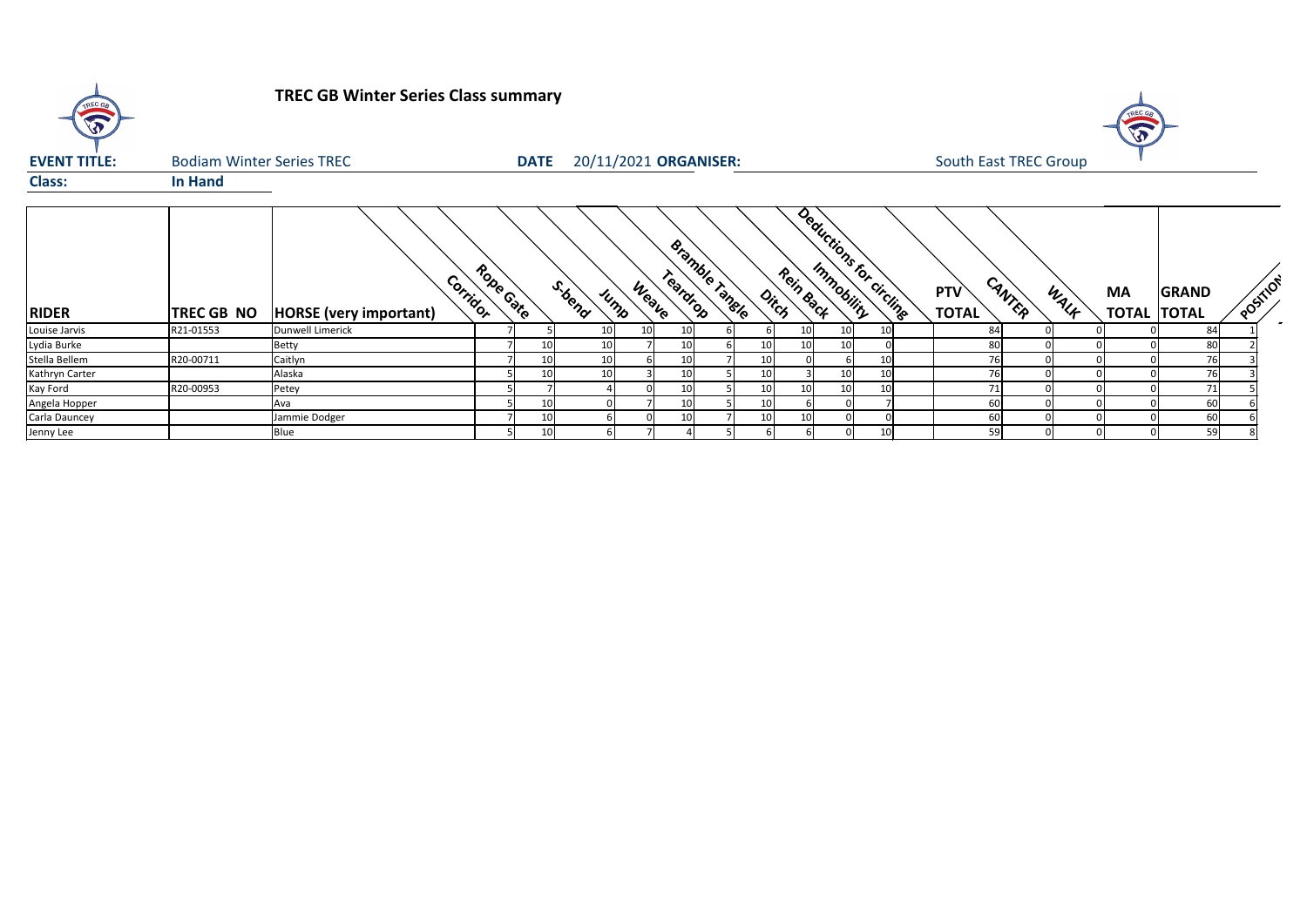

# **TREC GB Winter Series Class summary**

| <b>EVENT TITLE:</b> | <b>Bodiam Winter Series TREC</b> |                               |                       | <b>DATE</b> |          |               |                 | 20/11/2021 ORGANISER: |                         |           |                 |                         | <b>South East TREC Group</b> |        |      |                           |                              |         |
|---------------------|----------------------------------|-------------------------------|-----------------------|-------------|----------|---------------|-----------------|-----------------------|-------------------------|-----------|-----------------|-------------------------|------------------------------|--------|------|---------------------------|------------------------------|---------|
| <b>Class:</b>       | <b>In Hand</b>                   |                               |                       |             |          |               |                 |                       |                         |           |                 |                         |                              |        |      |                           |                              |         |
| <b>RIDER</b>        | <b>TREC GB NO</b>                | <b>HORSE</b> (very important) | Robe Gate<br>Corridor |             | S. toend | Weave<br>Jump | Teardrop        | Bramble Tangle        | $\phi_{i\zeta_{\beta}}$ | Rein Back |                 | Deductions for circling | <b>PTV</b><br><b>TOTAL</b>   | CANTER | WALF | <b>MA</b><br><b>TOTAL</b> | <b>GRAND</b><br><b>TOTAL</b> | POSTIOT |
| Louise Jarvis       | R21-01553                        | Dunwell Limerick              |                       |             | 10       | 10            | 10 <sub>l</sub> |                       |                         |           | 10              |                         | 84                           |        |      |                           | 84                           |         |
| Lydia Burke         |                                  | <b>Betty</b>                  |                       |             | 10       |               | 10 <sup>1</sup> |                       | 10I                     |           | 10 <sup>1</sup> |                         | 80                           |        |      |                           | 80                           |         |
| Stella Bellem       | R20-00711                        | Caitlyn                       |                       |             | 10       |               | 10 <sup>1</sup> |                       |                         |           |                 |                         |                              |        |      |                           | 76                           |         |
| Kathryn Carter      |                                  | Alaska                        |                       |             | 10       |               | 10 <sup>1</sup> |                       |                         |           | 10 <sup>1</sup> |                         | 76                           |        |      |                           | 761                          |         |
| Kay Ford            | R20-00953                        | Petey                         |                       |             |          |               |                 |                       |                         |           | 10              |                         | 71                           |        |      |                           | 71                           |         |
| Angela Hopper       |                                  | Ava                           |                       |             |          |               | 10 <sup>1</sup> |                       | 10I                     |           |                 |                         | 60                           |        |      |                           | 60                           |         |
| Carla Dauncey       |                                  | Jammie Dodger                 |                       |             |          |               |                 |                       |                         |           |                 |                         | 60                           |        |      |                           | 60                           |         |
| Jenny Lee           |                                  | Blue                          |                       |             |          |               |                 |                       |                         |           |                 |                         | 59                           |        |      |                           | 59                           |         |

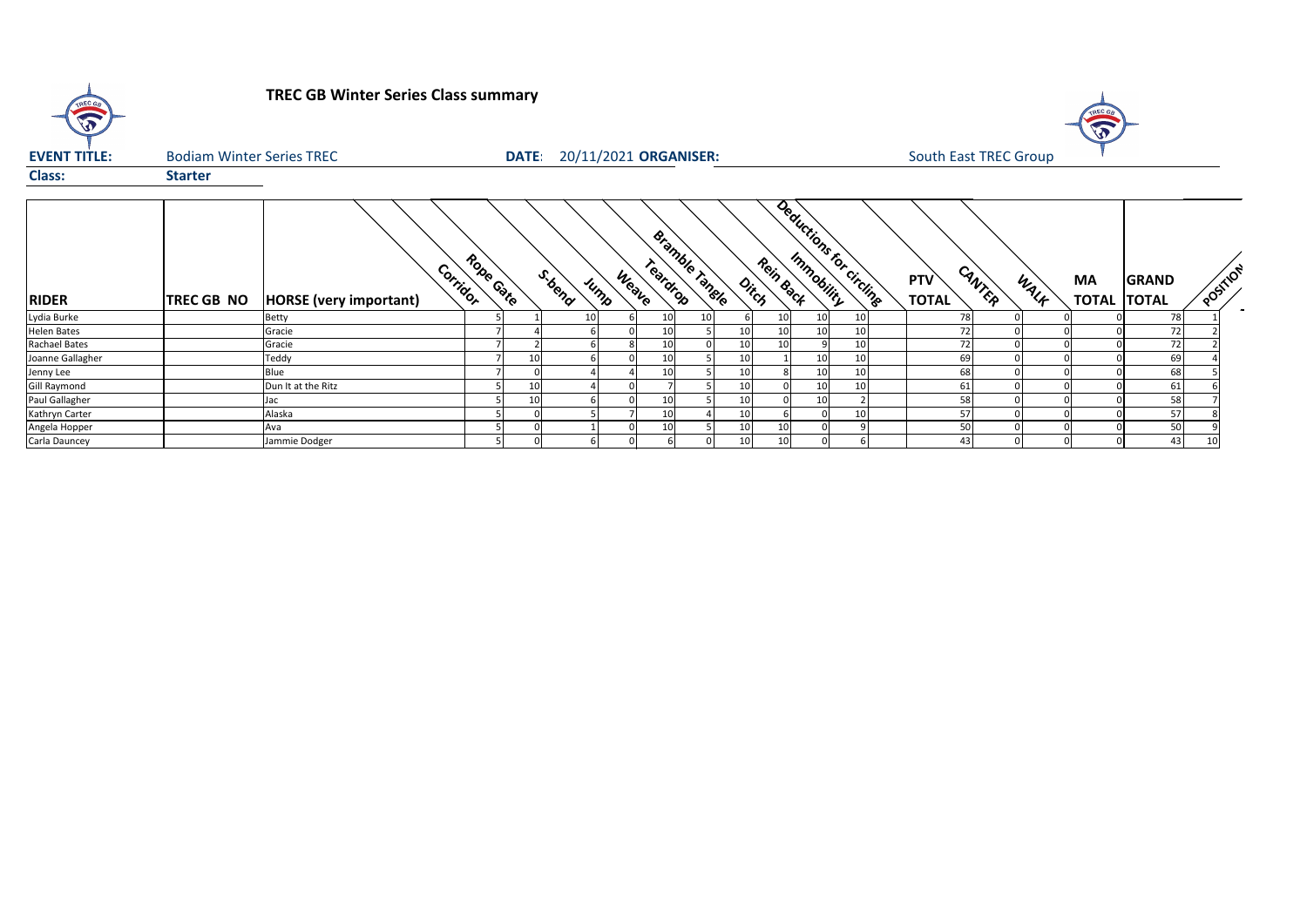

## **TREC GB Winter Series Class summary**

| <b>EVENT TITLE:</b>  | <b>Bodiam Winter Series TREC</b> | 20/11/2021 ORGANISER:<br><b>DATE:</b>     |           |                |       |                            |  | <b>South East TREC Group</b>                  |                         |                 |                                      |      |                           |                              |          |
|----------------------|----------------------------------|-------------------------------------------|-----------|----------------|-------|----------------------------|--|-----------------------------------------------|-------------------------|-----------------|--------------------------------------|------|---------------------------|------------------------------|----------|
| <b>Class:</b>        | <b>Starter</b>                   |                                           |           |                |       |                            |  |                                               |                         |                 |                                      |      |                           |                              |          |
| <b>RIDER</b>         | <b>TREC GB NO</b>                | Corridor<br><b>HORSE</b> (very important) | Robe Gate | S.bend<br>Jump | Weave | Bramble Tangle<br>Teardrop |  | Rein Back<br>$\phi_{\dot{r}_{\dot{C}\dot{b}}$ | Deductions for circling |                 | CANTER<br><b>PTV</b><br><b>TOTAL</b> | WALK | <b>MA</b><br><b>TOTAL</b> | <b>GRAND</b><br><b>TOTAL</b> | POSITION |
| Lydia Burke          |                                  | <b>Betty</b>                              |           | 10             |       | 10                         |  | 10                                            |                         | 10              | 78                                   |      |                           | 78                           |          |
| <b>Helen Bates</b>   |                                  | Gracie                                    |           |                |       | 10                         |  | 10                                            |                         | 10              | 72                                   |      |                           | 72                           |          |
| <b>Rachael Bates</b> |                                  | Gracie                                    |           |                |       |                            |  |                                               |                         | 10              | 72                                   |      |                           | 72                           |          |
| Joanne Gallagher     |                                  | Teddy                                     | 10        |                |       |                            |  |                                               |                         | 10              | 69                                   |      |                           | 69                           |          |
| Jenny Lee            |                                  | Blue                                      |           |                |       |                            |  |                                               |                         | 10 <sub>1</sub> | 68                                   |      |                           | 68                           |          |
| <b>Gill Raymond</b>  |                                  | Dun It at the Ritz                        | 10        |                |       |                            |  |                                               |                         | 10              | 61                                   |      |                           | 61                           |          |
| Paul Gallagher       |                                  | Jac                                       | 10        |                |       |                            |  |                                               |                         |                 | 58                                   |      |                           | 58                           |          |
| Kathryn Carter       |                                  | Alaska                                    |           |                |       |                            |  |                                               |                         | 10              | 57                                   |      |                           | 57                           |          |
| Angela Hopper        |                                  | Ava                                       |           |                |       |                            |  | 10                                            |                         |                 | 50                                   |      |                           | 50                           |          |
| Carla Dauncey        |                                  | Jammie Dodger                             |           |                |       |                            |  |                                               |                         |                 | 43                                   |      |                           | 43                           |          |